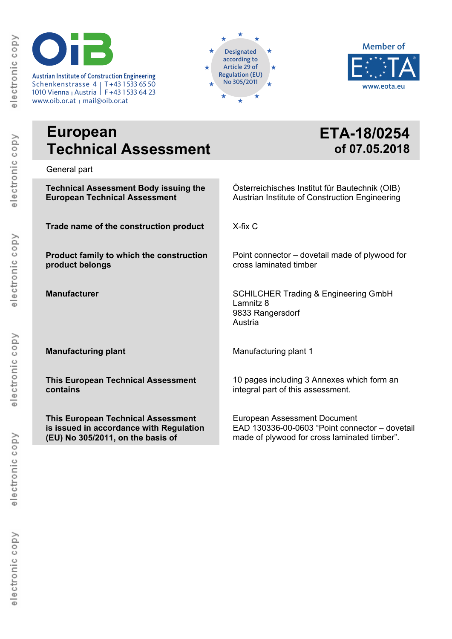Austrian Institute of Construction Engineering<br>
Schenkenstrasse 4 | T+43 1 533 65 50 **120 × 1 × 1 × 1 × 1 × 1 × 1** No 305/2011 1010 Vienna <sub>I</sub> Austria | F+43 1 533 64 23

www.oib.or.at <sub>Ι</sub> mail@oib.or.at





# **European Technical Assessment**

**ETA-18/0254 of 07.05.2018**

General part

| <b>Technical Assessment Body issuing the</b> | Österreichisches Institut für Bautechnik (OIB)                                              |
|----------------------------------------------|---------------------------------------------------------------------------------------------|
| <b>European Technical Assessment</b>         | Austrian Institute of Construction Engineering                                              |
| Trade name of the construction product       | X-fix C                                                                                     |
| Product family to which the construction     | Point connector – dovetail made of plywood for                                              |
| product belongs                              | cross laminated timber                                                                      |
| <b>Manufacturer</b>                          | <b>SCHILCHER Trading &amp; Engineering GmbH</b><br>Lamnitz 8<br>9833 Rangersdorf<br>Austria |
| <b>Manufacturing plant</b>                   | Manufacturing plant 1                                                                       |
| <b>This European Technical Assessment</b>    | 10 pages including 3 Annexes which form an                                                  |
| contains                                     | integral part of this assessment.                                                           |
| <b>This European Technical Assessment</b>    | <b>European Assessment Document</b>                                                         |
| is issued in accordance with Regulation      | EAD 130336-00-0603 "Point connector - dovetail                                              |
| (EU) No 305/2011, on the basis of            | made of plywood for cross laminated timber".                                                |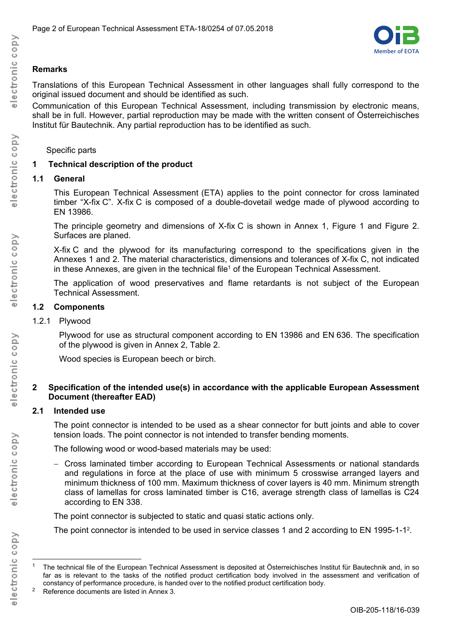

# **Remarks**

Translations of this European Technical Assessment in other languages shall fully correspond to the original issued document and should be identified as such.

Communication of this European Technical Assessment, including transmission by electronic means, shall be in full. However, partial reproduction may be made with the written consent of Österreichisches Institut für Bautechnik. Any partial reproduction has to be identified as such.

### Specific parts

## **1 Technical description of the product**

## **1.1 General**

This European Technical Assessment (ETA) applies to the point connector for cross laminated timber "X-fix C". X-fix C is composed of a double-dovetail wedge made of plywood according to EN 13986.

The principle geometry and dimensions of X-fix C is shown in Annex 1, Figure 1 and Figure 2. Surfaces are planed.

X-fix C and the plywood for its manufacturing correspond to the specifications given in the Annexes 1 and 2. The material characteristics, dimensions and tolerances of X-fix C, not indicated in these Annexes, are given in the technical file<sup>1</sup> of the European Technical Assessment.

The application of wood preservatives and flame retardants is not subject of the European Technical Assessment.

# **1.2 Components**

1.2.1 Plywood

Plywood for use as structural component according to EN 13986 and EN 636. The specification of the plywood is given in Annex 2, Table 2.

Wood species is European beech or birch.

#### **2 Specification of the intended use(s) in accordance with the applicable European Assessment Document (thereafter EAD)**

## **2.1 Intended use**

The point connector is intended to be used as a shear connector for butt joints and able to cover tension loads. The point connector is not intended to transfer bending moments.

The following wood or wood-based materials may be used:

 Cross laminated timber according to European Technical Assessments or national standards and regulations in force at the place of use with minimum 5 crosswise arranged layers and minimum thickness of 100 mm. Maximum thickness of cover layers is 40 mm. Minimum strength class of lamellas for cross laminated timber is C16, average strength class of lamellas is C24 according to EN 338.

The point connector is subjected to static and quasi static actions only.

The point connector is intended to be used in service classes 1 and 2 according to EN 1995-1-1<sup>2</sup>.

<sup>1</sup> The technical file of the European Technical Assessment is deposited at Österreichisches Institut für Bautechnik and, in so far as is relevant to the tasks of the notified product certification body involved in the assessment and verification of constancy of performance procedure, is handed over to the notified product certification body.

<sup>2</sup> Reference documents are listed in Annex 3.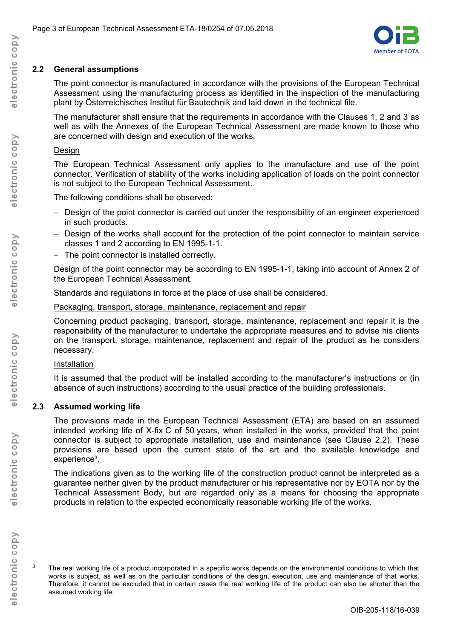

# **2.2 General assumptions**

The point connector is manufactured in accordance with the provisions of the European Technical Assessment using the manufacturing process as identified in the inspection of the manufacturing plant by Österreichisches Institut für Bautechnik and laid down in the technical file.

The manufacturer shall ensure that the requirements in accordance with the Clauses 1, 2 and 3 as well as with the Annexes of the European Technical Assessment are made known to those who are concerned with design and execution of the works.

## Design

The European Technical Assessment only applies to the manufacture and use of the point connector. Verification of stability of the works including application of loads on the point connector is not subject to the European Technical Assessment.

The following conditions shall be observed:

- Design of the point connector is carried out under the responsibility of an engineer experienced in such products.
- Design of the works shall account for the protection of the point connector to maintain service classes 1 and 2 according to EN 1995-1-1.
- The point connector is installed correctly.

Design of the point connector may be according to EN 1995-1-1, taking into account of Annex 2 of the European Technical Assessment.

Standards and regulations in force at the place of use shall be considered.

Packaging, transport, storage, maintenance, replacement and repair

Concerning product packaging, transport, storage, maintenance, replacement and repair it is the responsibility of the manufacturer to undertake the appropriate measures and to advise his clients on the transport, storage, maintenance, replacement and repair of the product as he considers necessary.

## Installation

It is assumed that the product will be installed according to the manufacturer's instructions or (in absence of such instructions) according to the usual practice of the building professionals.

## **2.3 Assumed working life**

The provisions made in the European Technical Assessment (ETA) are based on an assumed intended working life of X-fix C of 50 years, when installed in the works, provided that the point connector is subject to appropriate installation, use and maintenance (see Clause 2.2). These provisions are based upon the current state of the art and the available knowledge and experience3.

The indications given as to the working life of the construction product cannot be interpreted as a guarantee neither given by the product manufacturer or his representative nor by EOTA nor by the Technical Assessment Body, but are regarded only as a means for choosing the appropriate products in relation to the expected economically reasonable working life of the works.

electronic copy

 $\overline{a}$ 

 $3$  The real working life of a product incorporated in a specific works depends on the environmental conditions to which that works is subject, as well as on the particular conditions of the design, execution, use and maintenance of that works. Therefore, it cannot be excluded that in certain cases the real working life of the product can also be shorter than the assumed working life.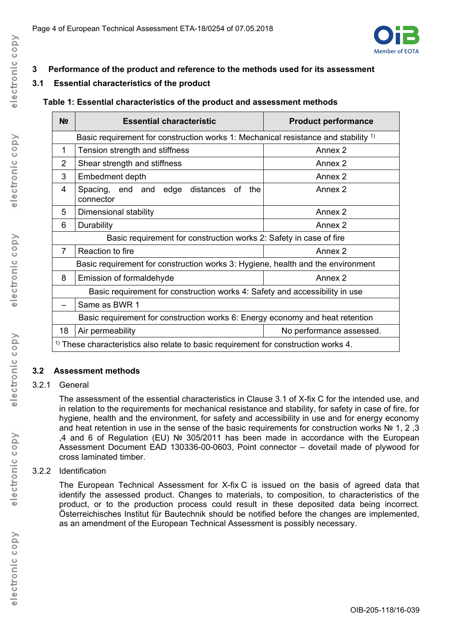

# **3 Performance of the product and reference to the methods used for its assessment**

# **3.1 Essential characteristics of the product**

# **Table 1: Essential characteristics of the product and assessment methods**

| N <sub>2</sub>                                                                                 | <b>Essential characteristic</b>                              | <b>Product performance</b> |  |
|------------------------------------------------------------------------------------------------|--------------------------------------------------------------|----------------------------|--|
| Basic requirement for construction works 1: Mechanical resistance and stability <sup>1)</sup>  |                                                              |                            |  |
| $\mathbf{1}$                                                                                   | Tension strength and stiffness                               | Annex 2                    |  |
| $\overline{2}$                                                                                 | Shear strength and stiffness                                 | Annex 2                    |  |
| 3                                                                                              | Embedment depth                                              | Annex 2                    |  |
| 4                                                                                              | Spacing, end and edge<br>distances<br>the<br>0f<br>connector | Annex 2                    |  |
| 5                                                                                              | Dimensional stability                                        | Annex 2                    |  |
| 6                                                                                              | Durability                                                   | Annex 2                    |  |
| Basic requirement for construction works 2: Safety in case of fire                             |                                                              |                            |  |
| $\overline{7}$                                                                                 | Reaction to fire                                             | Annex <sub>2</sub>         |  |
| Basic requirement for construction works 3: Hygiene, health and the environment                |                                                              |                            |  |
| 8                                                                                              | Emission of formaldehyde                                     | Annex 2                    |  |
| Basic requirement for construction works 4: Safety and accessibility in use                    |                                                              |                            |  |
|                                                                                                | Same as BWR 1                                                |                            |  |
| Basic requirement for construction works 6: Energy economy and heat retention                  |                                                              |                            |  |
| 18                                                                                             | Air permeability                                             | No performance assessed.   |  |
| $\frac{1}{1}$ These characteristics also relate to basic requirement for construction works 4. |                                                              |                            |  |

## **3.2 Assessment methods**

## 3.2.1 General

The assessment of the essential characteristics in Clause 3.1 of X-fix C for the intended use, and in relation to the requirements for mechanical resistance and stability, for safety in case of fire, for hygiene, health and the environment, for safety and accessibility in use and for energy economy and heat retention in use in the sense of the basic requirements for construction works  $N<sup>2</sup> 1$ . 2, 3 ,4 and 6 of Regulation (EU) № 305/2011 has been made in accordance with the European Assessment Document EAD 130336-00-0603, Point connector – dovetail made of plywood for cross laminated timber.

## 3.2.2 Identification

The European Technical Assessment for X-fix C is issued on the basis of agreed data that identify the assessed product. Changes to materials, to composition, to characteristics of the product, or to the production process could result in these deposited data being incorrect. Österreichisches Institut für Bautechnik should be notified before the changes are implemented, as an amendment of the European Technical Assessment is possibly necessary.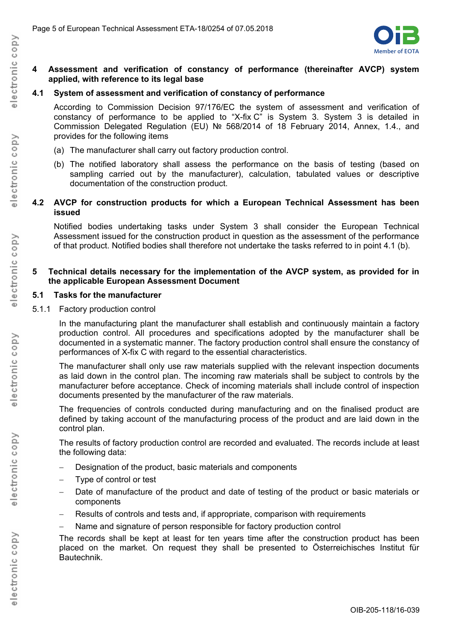

#### **4 Assessment and verification of constancy of performance (thereinafter AVCP) system applied, with reference to its legal base**

#### **4.1 System of assessment and verification of constancy of performance**

According to Commission Decision 97/176/EC the system of assessment and verification of constancy of performance to be applied to "X-fix C" is System 3. System 3 is detailed in Commission Delegated Regulation (EU) № 568/2014 of 18 February 2014, Annex, 1.4., and provides for the following items

- (a) The manufacturer shall carry out factory production control.
- (b) The notified laboratory shall assess the performance on the basis of testing (based on sampling carried out by the manufacturer), calculation, tabulated values or descriptive documentation of the construction product.

#### **4.2 AVCP for construction products for which a European Technical Assessment has been issued**

Notified bodies undertaking tasks under System 3 shall consider the European Technical Assessment issued for the construction product in question as the assessment of the performance of that product. Notified bodies shall therefore not undertake the tasks referred to in point 4.1 (b).

#### **5 Technical details necessary for the implementation of the AVCP system, as provided for in the applicable European Assessment Document**

#### **5.1 Tasks for the manufacturer**

5.1.1 Factory production control

In the manufacturing plant the manufacturer shall establish and continuously maintain a factory production control. All procedures and specifications adopted by the manufacturer shall be documented in a systematic manner. The factory production control shall ensure the constancy of performances of X-fix C with regard to the essential characteristics.

The manufacturer shall only use raw materials supplied with the relevant inspection documents as laid down in the control plan. The incoming raw materials shall be subject to controls by the manufacturer before acceptance. Check of incoming materials shall include control of inspection documents presented by the manufacturer of the raw materials.

The frequencies of controls conducted during manufacturing and on the finalised product are defined by taking account of the manufacturing process of the product and are laid down in the control plan.

The results of factory production control are recorded and evaluated. The records include at least the following data:

- Designation of the product, basic materials and components
- Type of control or test
- Date of manufacture of the product and date of testing of the product or basic materials or components
- Results of controls and tests and, if appropriate, comparison with requirements
- Name and signature of person responsible for factory production control

The records shall be kept at least for ten years time after the construction product has been placed on the market. On request they shall be presented to Österreichisches Institut für Bautechnik.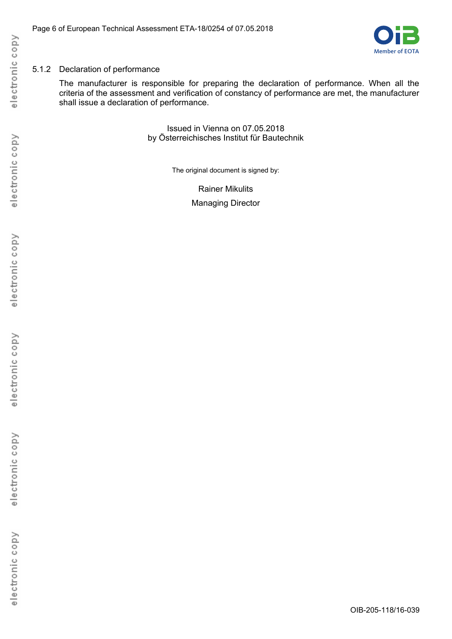

## 5.1.2 Declaration of performance

The manufacturer is responsible for preparing the declaration of performance. When all the criteria of the assessment and verification of constancy of performance are met, the manufacturer shall issue a declaration of performance.

> Issued in Vienna on 07.05.2018 by Österreichisches Institut für Bautechnik

> > The original document is signed by:

Rainer Mikulits Managing Director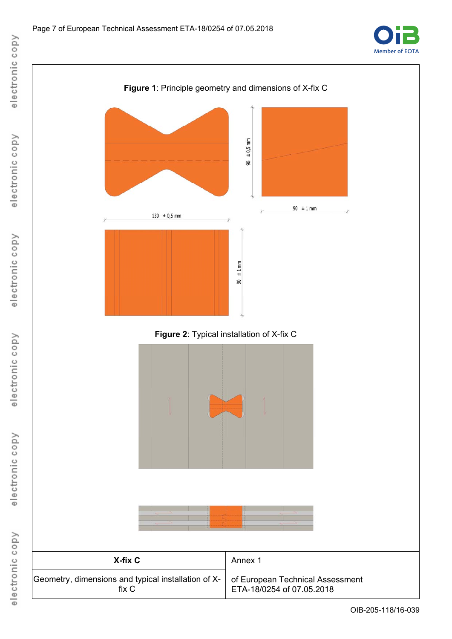



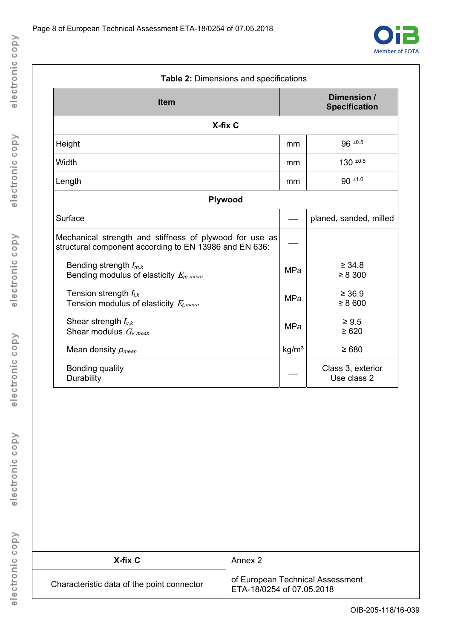

|                                                                                                                   |                   | Dimension /                      |
|-------------------------------------------------------------------------------------------------------------------|-------------------|----------------------------------|
| <b>Item</b>                                                                                                       |                   | <b>Specification</b>             |
| X-fix C                                                                                                           |                   |                                  |
| Height                                                                                                            | mm                | $96 \pm 0.5$                     |
| Width                                                                                                             | mm                | $130^{10.5}$                     |
| Length                                                                                                            | mm                | $90 + 1.0$                       |
| Plywood                                                                                                           |                   |                                  |
| Surface                                                                                                           |                   | planed, sanded, milled           |
| Mechanical strength and stiffness of plywood for use as<br>structural component according to EN 13986 and EN 636: |                   |                                  |
| Bending strength $f_{m,k}$<br>Bending modulus of elasticity $E_{m,mean}$                                          | <b>MPa</b>        | $\geq 34.8$<br>$\geq 8300$       |
| Tension strength $f_{tk}$<br>Tension modulus of elasticity $E_{t,mean}$                                           | MPa               | $\geq 36.9$<br>$\geq 8600$       |
| Shear strength $f_{v,k}$<br>Shear modulus $G_{v,mean}$                                                            | <b>MPa</b>        | $\geq 9.5$<br>$\geq 620$         |
| Mean density $\rho_{mean}$                                                                                        | kg/m <sup>3</sup> | $\geq 680$                       |
| Bonding quality<br>Durability                                                                                     |                   | Class 3, exterior<br>Use class 2 |

| X-fix C                                    | Annex 2                                                       |
|--------------------------------------------|---------------------------------------------------------------|
| Characteristic data of the point connector | of European Technical Assessment<br>ETA-18/0254 of 07.05.2018 |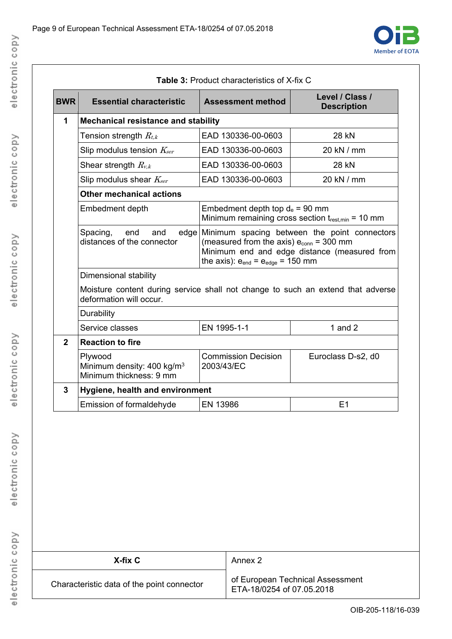

| <b>Table 3: Product characteristics of X-fix C</b>                                                         |                                                                              |                                                                                                 |                                                                                                   |
|------------------------------------------------------------------------------------------------------------|------------------------------------------------------------------------------|-------------------------------------------------------------------------------------------------|---------------------------------------------------------------------------------------------------|
| <b>BWR</b>                                                                                                 | <b>Essential characteristic</b>                                              | <b>Assessment method</b>                                                                        | Level / Class /<br><b>Description</b>                                                             |
| 1                                                                                                          | <b>Mechanical resistance and stability</b>                                   |                                                                                                 |                                                                                                   |
|                                                                                                            | Tension strength $R_{t,k}$                                                   | EAD 130336-00-0603                                                                              | 28 kN                                                                                             |
|                                                                                                            | Slip modulus tension $K_{\text{ser}}$                                        | EAD 130336-00-0603                                                                              | 20 kN / mm                                                                                        |
|                                                                                                            | Shear strength $R_{v,k}$                                                     | EAD 130336-00-0603                                                                              | <b>28 kN</b>                                                                                      |
|                                                                                                            | Slip modulus shear $K_{ser}$                                                 | EAD 130336-00-0603                                                                              | 20 kN / mm                                                                                        |
|                                                                                                            | <b>Other mechanical actions</b>                                              |                                                                                                 |                                                                                                   |
|                                                                                                            | Embedment depth                                                              | Embedment depth top $d_e$ = 90 mm                                                               | Minimum remaining cross section $t_{rest,min} = 10$ mm                                            |
|                                                                                                            | Spacing,<br>end<br>and<br>distances of the connector                         | (measured from the axis) $e_{\text{conn}}$ = 300 mm<br>the axis): $e_{end} = e_{edge} = 150$ mm | edge Minimum spacing between the point connectors<br>Minimum end and edge distance (measured from |
|                                                                                                            | Dimensional stability                                                        |                                                                                                 |                                                                                                   |
| Moisture content during service shall not change to such an extend that adverse<br>deformation will occur. |                                                                              |                                                                                                 |                                                                                                   |
|                                                                                                            | Durability                                                                   |                                                                                                 |                                                                                                   |
|                                                                                                            | Service classes                                                              | EN 1995-1-1                                                                                     | 1 and $2$                                                                                         |
| $\overline{2}$                                                                                             | <b>Reaction to fire</b>                                                      |                                                                                                 |                                                                                                   |
|                                                                                                            | Plywood<br>Minimum density: 400 kg/m <sup>3</sup><br>Minimum thickness: 9 mm | <b>Commission Decision</b><br>2003/43/EC                                                        | Euroclass D-s2, d0                                                                                |
| 3                                                                                                          | Hygiene, health and environment                                              |                                                                                                 |                                                                                                   |
|                                                                                                            | Emission of formaldehyde                                                     | EN 13986                                                                                        | E1                                                                                                |

| X-fix C                                    | Annex 2                                                       |
|--------------------------------------------|---------------------------------------------------------------|
| Characteristic data of the point connector | of European Technical Assessment<br>ETA-18/0254 of 07.05.2018 |